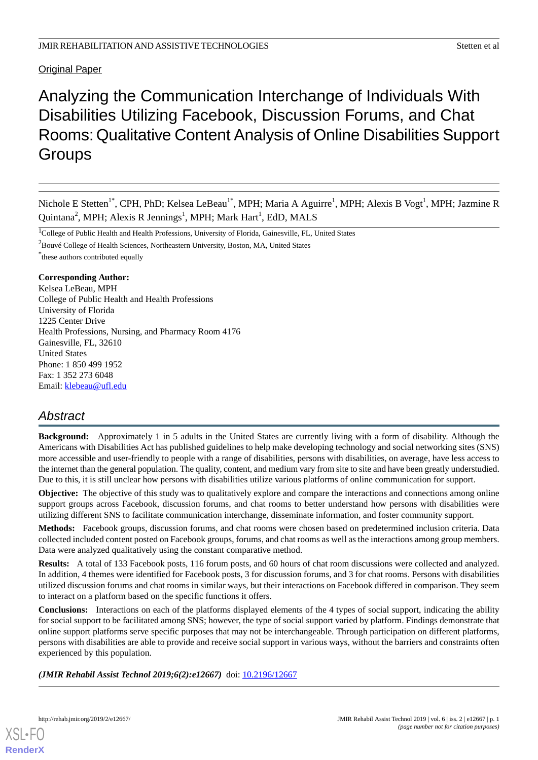Original Paper

# Analyzing the Communication Interchange of Individuals With Disabilities Utilizing Facebook, Discussion Forums, and Chat Rooms: Qualitative Content Analysis of Online Disabilities Support **Groups**

Nichole E Stetten<sup>1\*</sup>, CPH, PhD; Kelsea LeBeau<sup>1\*</sup>, MPH; Maria A Aguirre<sup>1</sup>, MPH; Alexis B Vogt<sup>1</sup>, MPH; Jazmine R Quintana<sup>2</sup>, MPH; Alexis R Jennings<sup>1</sup>, MPH; Mark Hart<sup>1</sup>, EdD, MALS

<sup>1</sup>College of Public Health and Health Professions, University of Florida, Gainesville, FL, United States

<sup>2</sup>Bouvé College of Health Sciences, Northeastern University, Boston, MA, United States

\* these authors contributed equally

# **Corresponding Author:**

Kelsea LeBeau, MPH College of Public Health and Health Professions University of Florida 1225 Center Drive Health Professions, Nursing, and Pharmacy Room 4176 Gainesville, FL, 32610 United States Phone: 1 850 499 1952 Fax: 1 352 273 6048 Email: [klebeau@ufl.edu](mailto:klebeau@ufl.edu)

# *Abstract*

**Background:** Approximately 1 in 5 adults in the United States are currently living with a form of disability. Although the Americans with Disabilities Act has published guidelines to help make developing technology and social networking sites (SNS) more accessible and user-friendly to people with a range of disabilities, persons with disabilities, on average, have less access to the internet than the general population. The quality, content, and medium vary from site to site and have been greatly understudied. Due to this, it is still unclear how persons with disabilities utilize various platforms of online communication for support.

**Objective:** The objective of this study was to qualitatively explore and compare the interactions and connections among online support groups across Facebook, discussion forums, and chat rooms to better understand how persons with disabilities were utilizing different SNS to facilitate communication interchange, disseminate information, and foster community support.

**Methods:** Facebook groups, discussion forums, and chat rooms were chosen based on predetermined inclusion criteria. Data collected included content posted on Facebook groups, forums, and chat rooms as well as the interactions among group members. Data were analyzed qualitatively using the constant comparative method.

**Results:** A total of 133 Facebook posts, 116 forum posts, and 60 hours of chat room discussions were collected and analyzed. In addition, 4 themes were identified for Facebook posts, 3 for discussion forums, and 3 for chat rooms. Persons with disabilities utilized discussion forums and chat rooms in similar ways, but their interactions on Facebook differed in comparison. They seem to interact on a platform based on the specific functions it offers.

**Conclusions:** Interactions on each of the platforms displayed elements of the 4 types of social support, indicating the ability for social support to be facilitated among SNS; however, the type of social support varied by platform. Findings demonstrate that online support platforms serve specific purposes that may not be interchangeable. Through participation on different platforms, persons with disabilities are able to provide and receive social support in various ways, without the barriers and constraints often experienced by this population.

*(JMIR Rehabil Assist Technol 2019;6(2):e12667)* doi: [10.2196/12667](http://dx.doi.org/10.2196/12667)

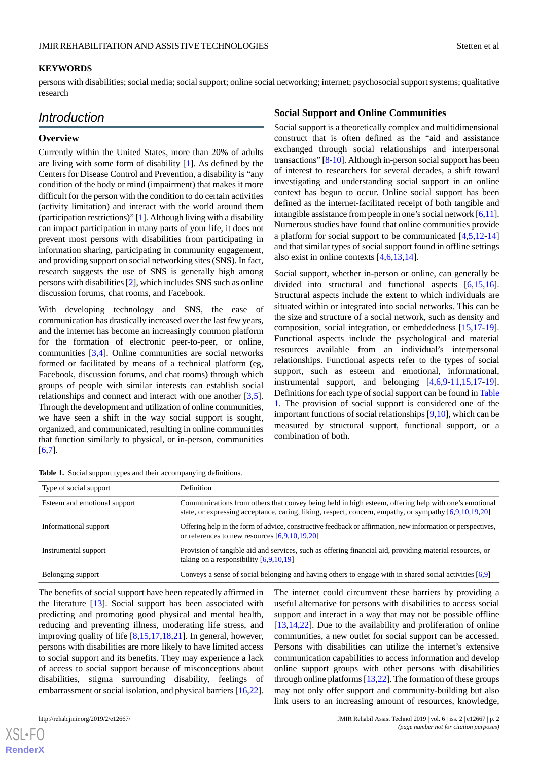# **KEYWORDS**

persons with disabilities; social media; social support; online social networking; internet; psychosocial support systems; qualitative research

# *Introduction*

## **Overview**

Currently within the United States, more than 20% of adults are living with some form of disability [[1\]](#page-9-0). As defined by the Centers for Disease Control and Prevention, a disability is "any condition of the body or mind (impairment) that makes it more difficult for the person with the condition to do certain activities (activity limitation) and interact with the world around them (participation restrictions)" [\[1](#page-9-0)]. Although living with a disability can impact participation in many parts of your life, it does not prevent most persons with disabilities from participating in information sharing, participating in community engagement, and providing support on social networking sites (SNS). In fact, research suggests the use of SNS is generally high among persons with disabilities [\[2](#page-9-1)], which includes SNS such as online discussion forums, chat rooms, and Facebook.

With developing technology and SNS, the ease of communication has drastically increased over the last few years, and the internet has become an increasingly common platform for the formation of electronic peer-to-peer, or online, communities [[3,](#page-9-2)[4](#page-9-3)]. Online communities are social networks formed or facilitated by means of a technical platform (eg, Facebook, discussion forums, and chat rooms) through which groups of people with similar interests can establish social relationships and connect and interact with one another [\[3](#page-9-2),[5\]](#page-9-4). Through the development and utilization of online communities, we have seen a shift in the way social support is sought, organized, and communicated, resulting in online communities that function similarly to physical, or in-person, communities [[6](#page-9-5)[,7](#page-9-6)].

## **Social Support and Online Communities**

Social support is a theoretically complex and multidimensional construct that is often defined as the "aid and assistance exchanged through social relationships and interpersonal transactions" [[8-](#page-9-7)[10\]](#page-9-8). Although in-person social support has been of interest to researchers for several decades, a shift toward investigating and understanding social support in an online context has begun to occur. Online social support has been defined as the internet-facilitated receipt of both tangible and intangible assistance from people in one's social network [[6,](#page-9-5)[11](#page-9-9)]. Numerous studies have found that online communities provide a platform for social support to be communicated [\[4](#page-9-3),[5,](#page-9-4)[12](#page-9-10)[-14](#page-9-11)] and that similar types of social support found in offline settings also exist in online contexts [\[4](#page-9-3),[6](#page-9-5)[,13](#page-9-12),[14\]](#page-9-11).

Social support, whether in-person or online, can generally be divided into structural and functional aspects [[6](#page-9-5)[,15](#page-10-0),[16\]](#page-10-1). Structural aspects include the extent to which individuals are situated within or integrated into social networks. This can be the size and structure of a social network, such as density and composition, social integration, or embeddedness [\[15](#page-10-0),[17-](#page-10-2)[19\]](#page-10-3). Functional aspects include the psychological and material resources available from an individual's interpersonal relationships. Functional aspects refer to the types of social support, such as esteem and emotional, informational, instrumental support, and belonging [\[4](#page-9-3),[6](#page-9-5)[,9](#page-9-13)-[11,](#page-9-9)[15](#page-10-0),[17-](#page-10-2)[19\]](#page-10-3). Definitions for each type of social support can be found in [Table](#page-1-0) [1.](#page-1-0) The provision of social support is considered one of the important functions of social relationships [[9,](#page-9-13)[10](#page-9-8)], which can be measured by structural support, functional support, or a combination of both.

<span id="page-1-0"></span>

| Table 1. Social support types and their accompanying definitions. |  |
|-------------------------------------------------------------------|--|
|-------------------------------------------------------------------|--|

| Type of social support       | <b>Definition</b>                                                                                                                                                                                              |
|------------------------------|----------------------------------------------------------------------------------------------------------------------------------------------------------------------------------------------------------------|
| Esteem and emotional support | Communications from others that convey being held in high esteem, offering help with one's emotional<br>state, or expressing acceptance, caring, liking, respect, concern, empathy, or sympathy [6,9,10,19,20] |
| Informational support        | Offering help in the form of advice, constructive feedback or affirmation, new information or perspectives,<br>or references to new resources $[6,9,10,19,20]$                                                 |
| Instrumental support         | Provision of tangible aid and services, such as offering financial aid, providing material resources, or<br>taking on a responsibility $[6,9,10,19]$                                                           |
| Belonging support            | Conveys a sense of social belonging and having others to engage with in shared social activities [6,9]                                                                                                         |

The benefits of social support have been repeatedly affirmed in the literature [\[13](#page-9-12)]. Social support has been associated with predicting and promoting good physical and mental health, reducing and preventing illness, moderating life stress, and improving quality of life [\[8](#page-9-7)[,15](#page-10-0)[,17](#page-10-2),[18,](#page-10-5)[21](#page-10-6)]. In general, however, persons with disabilities are more likely to have limited access to social support and its benefits. They may experience a lack of access to social support because of misconceptions about disabilities, stigma surrounding disability, feelings of embarrassment or social isolation, and physical barriers [[16,](#page-10-1)[22\]](#page-10-7).

[XSL](http://www.w3.org/Style/XSL)•FO **[RenderX](http://www.renderx.com/)**

The internet could circumvent these barriers by providing a useful alternative for persons with disabilities to access social support and interact in a way that may not be possible offline [[13,](#page-9-12)[14,](#page-9-11)[22\]](#page-10-7). Due to the availability and proliferation of online communities, a new outlet for social support can be accessed. Persons with disabilities can utilize the internet's extensive communication capabilities to access information and develop online support groups with other persons with disabilities through online platforms [[13,](#page-9-12)[22\]](#page-10-7). The formation of these groups may not only offer support and community-building but also link users to an increasing amount of resources, knowledge,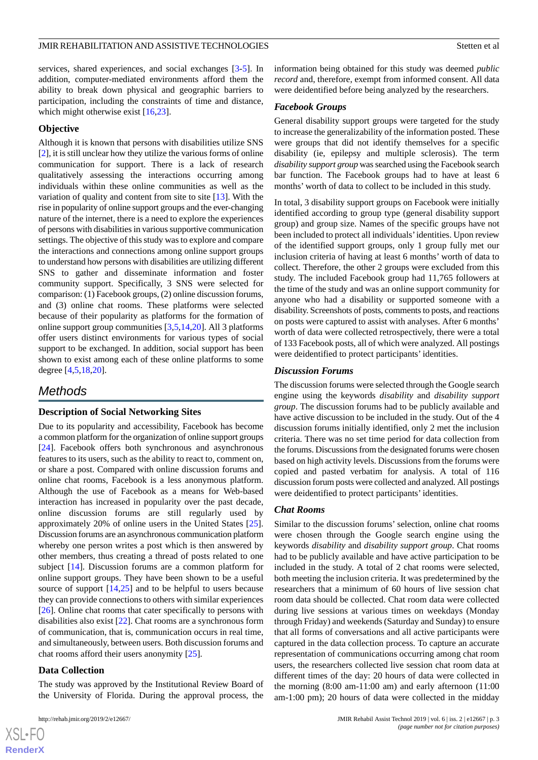services, shared experiences, and social exchanges [\[3](#page-9-2)[-5](#page-9-4)]. In addition, computer-mediated environments afford them the ability to break down physical and geographic barriers to participation, including the constraints of time and distance, which might otherwise exist [\[16](#page-10-1),[23\]](#page-10-8).

#### **Objective**

Although it is known that persons with disabilities utilize SNS [[2\]](#page-9-1), it is still unclear how they utilize the various forms of online communication for support. There is a lack of research qualitatively assessing the interactions occurring among individuals within these online communities as well as the variation of quality and content from site to site [[13\]](#page-9-12). With the rise in popularity of online support groups and the ever-changing nature of the internet, there is a need to explore the experiences of persons with disabilities in various supportive communication settings. The objective of this study was to explore and compare the interactions and connections among online support groups to understand how persons with disabilities are utilizing different SNS to gather and disseminate information and foster community support. Specifically, 3 SNS were selected for comparison: (1) Facebook groups, (2) online discussion forums, and (3) online chat rooms. These platforms were selected because of their popularity as platforms for the formation of online support group communities [\[3](#page-9-2),[5,](#page-9-4)[14](#page-9-11),[20\]](#page-10-4). All 3 platforms offer users distinct environments for various types of social support to be exchanged. In addition, social support has been shown to exist among each of these online platforms to some degree [[4](#page-9-3)[,5](#page-9-4),[18](#page-10-5)[,20](#page-10-4)].

# *Methods*

#### **Description of Social Networking Sites**

Due to its popularity and accessibility, Facebook has become a common platform for the organization of online support groups [[24\]](#page-10-9). Facebook offers both synchronous and asynchronous features to its users, such as the ability to react to, comment on, or share a post. Compared with online discussion forums and online chat rooms, Facebook is a less anonymous platform. Although the use of Facebook as a means for Web-based interaction has increased in popularity over the past decade, online discussion forums are still regularly used by approximately 20% of online users in the United States [[25\]](#page-10-10). Discussion forums are an asynchronous communication platform whereby one person writes a post which is then answered by other members, thus creating a thread of posts related to one subject [\[14](#page-9-11)]. Discussion forums are a common platform for online support groups. They have been shown to be a useful source of support [[14](#page-9-11)[,25](#page-10-10)] and to be helpful to users because they can provide connections to others with similar experiences [[26\]](#page-10-11). Online chat rooms that cater specifically to persons with disabilities also exist [\[22](#page-10-7)]. Chat rooms are a synchronous form of communication, that is, communication occurs in real time, and simultaneously, between users. Both discussion forums and chat rooms afford their users anonymity [\[25](#page-10-10)].

### **Data Collection**

The study was approved by the Institutional Review Board of the University of Florida. During the approval process, the

information being obtained for this study was deemed *public record* and, therefore, exempt from informed consent. All data were deidentified before being analyzed by the researchers.

#### *Facebook Groups*

General disability support groups were targeted for the study to increase the generalizability of the information posted. These were groups that did not identify themselves for a specific disability (ie, epilepsy and multiple sclerosis). The term *disability support group* was searched using the Facebook search bar function. The Facebook groups had to have at least 6 months' worth of data to collect to be included in this study.

In total, 3 disability support groups on Facebook were initially identified according to group type (general disability support group) and group size. Names of the specific groups have not been included to protect all individuals'identities. Upon review of the identified support groups, only 1 group fully met our inclusion criteria of having at least 6 months' worth of data to collect. Therefore, the other 2 groups were excluded from this study. The included Facebook group had 11,765 followers at the time of the study and was an online support community for anyone who had a disability or supported someone with a disability. Screenshots of posts, comments to posts, and reactions on posts were captured to assist with analyses. After 6 months' worth of data were collected retrospectively, there were a total of 133 Facebook posts, all of which were analyzed. All postings were deidentified to protect participants' identities.

#### *Discussion Forums*

The discussion forums were selected through the Google search engine using the keywords *disability* and *disability support group*. The discussion forums had to be publicly available and have active discussion to be included in the study. Out of the 4 discussion forums initially identified, only 2 met the inclusion criteria. There was no set time period for data collection from the forums. Discussions from the designated forums were chosen based on high activity levels. Discussions from the forums were copied and pasted verbatim for analysis. A total of 116 discussion forum posts were collected and analyzed. All postings were deidentified to protect participants' identities.

#### *Chat Rooms*

Similar to the discussion forums' selection, online chat rooms were chosen through the Google search engine using the keywords *disability* and *disability support group*. Chat rooms had to be publicly available and have active participation to be included in the study. A total of 2 chat rooms were selected, both meeting the inclusion criteria. It was predetermined by the researchers that a minimum of 60 hours of live session chat room data should be collected. Chat room data were collected during live sessions at various times on weekdays (Monday through Friday) and weekends (Saturday and Sunday) to ensure that all forms of conversations and all active participants were captured in the data collection process. To capture an accurate representation of communications occurring among chat room users, the researchers collected live session chat room data at different times of the day: 20 hours of data were collected in the morning  $(8:00 \text{ am}-11:00 \text{ am})$  and early afternoon  $(11:00 \text{ cm})$ am-1:00 pm); 20 hours of data were collected in the midday

 $XS$  $\cdot$ FC **[RenderX](http://www.renderx.com/)**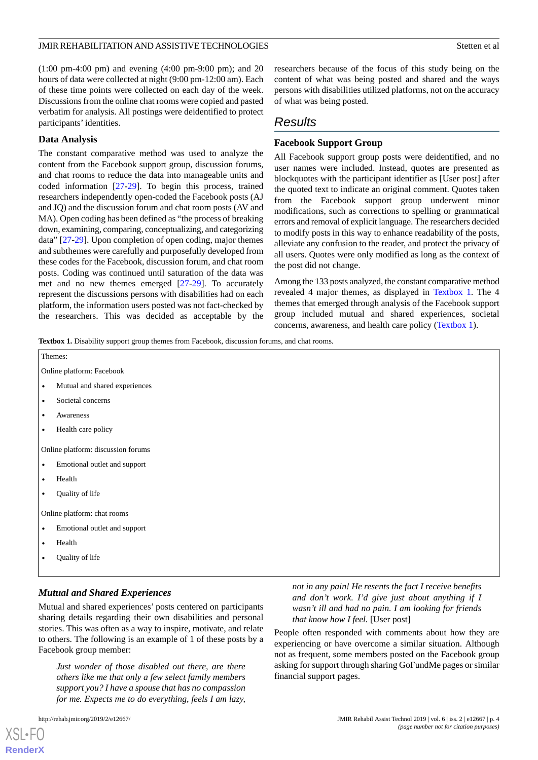(1:00 pm-4:00 pm) and evening (4:00 pm-9:00 pm); and 20 hours of data were collected at night (9:00 pm-12:00 am). Each of these time points were collected on each day of the week. Discussions from the online chat rooms were copied and pasted verbatim for analysis. All postings were deidentified to protect participants' identities.

#### **Data Analysis**

The constant comparative method was used to analyze the content from the Facebook support group, discussion forums, and chat rooms to reduce the data into manageable units and coded information [[27](#page-10-12)[-29](#page-10-13)]. To begin this process, trained researchers independently open-coded the Facebook posts (AJ and JQ) and the discussion forum and chat room posts (AV and MA). Open coding has been defined as "the process of breaking down, examining, comparing, conceptualizing, and categorizing data" [\[27](#page-10-12)-[29\]](#page-10-13). Upon completion of open coding, major themes and subthemes were carefully and purposefully developed from these codes for the Facebook, discussion forum, and chat room posts. Coding was continued until saturation of the data was met and no new themes emerged [\[27](#page-10-12)-[29\]](#page-10-13). To accurately represent the discussions persons with disabilities had on each platform, the information users posted was not fact-checked by the researchers. This was decided as acceptable by the

researchers because of the focus of this study being on the content of what was being posted and shared and the ways persons with disabilities utilized platforms, not on the accuracy of what was being posted.

# *Results*

# **Facebook Support Group**

All Facebook support group posts were deidentified, and no user names were included. Instead, quotes are presented as blockquotes with the participant identifier as [User post] after the quoted text to indicate an original comment. Quotes taken from the Facebook support group underwent minor modifications, such as corrections to spelling or grammatical errors and removal of explicit language. The researchers decided to modify posts in this way to enhance readability of the posts, alleviate any confusion to the reader, and protect the privacy of all users. Quotes were only modified as long as the context of the post did not change.

Among the 133 posts analyzed, the constant comparative method revealed 4 major themes, as displayed in [Textbox 1](#page-3-0). The 4 themes that emerged through analysis of the Facebook support group included mutual and shared experiences, societal concerns, awareness, and health care policy ([Textbox 1\)](#page-3-0).

<span id="page-3-0"></span>**Textbox 1.** Disability support group themes from Facebook, discussion forums, and chat rooms.

| Themes:                            |                               |  |  |  |
|------------------------------------|-------------------------------|--|--|--|
| Online platform: Facebook          |                               |  |  |  |
| $\bullet$                          | Mutual and shared experiences |  |  |  |
| $\bullet$                          | Societal concerns             |  |  |  |
| $\bullet$                          | Awareness                     |  |  |  |
| $\bullet$                          | Health care policy            |  |  |  |
| Online platform: discussion forums |                               |  |  |  |
| $\bullet$                          | Emotional outlet and support  |  |  |  |
| $\bullet$                          | Health                        |  |  |  |
| $\bullet$                          | Quality of life               |  |  |  |
| Online platform: chat rooms        |                               |  |  |  |
| $\bullet$                          | Emotional outlet and support  |  |  |  |
| $\bullet$                          | Health                        |  |  |  |
| $\bullet$                          | Quality of life               |  |  |  |
|                                    |                               |  |  |  |

# *Mutual and Shared Experiences*

Mutual and shared experiences' posts centered on participants sharing details regarding their own disabilities and personal stories. This was often as a way to inspire, motivate, and relate to others. The following is an example of 1 of these posts by a Facebook group member:

*Just wonder of those disabled out there, are there others like me that only a few select family members support you? I have a spouse that has no compassion for me. Expects me to do everything, feels I am lazy,*

[XSL](http://www.w3.org/Style/XSL)•FO **[RenderX](http://www.renderx.com/)**

*not in any pain! He resents the fact I receive benefits and don't work. I'd give just about anything if I wasn't ill and had no pain. I am looking for friends that know how I feel.* [User post]

People often responded with comments about how they are experiencing or have overcome a similar situation. Although not as frequent, some members posted on the Facebook group asking for support through sharing GoFundMe pages or similar financial support pages.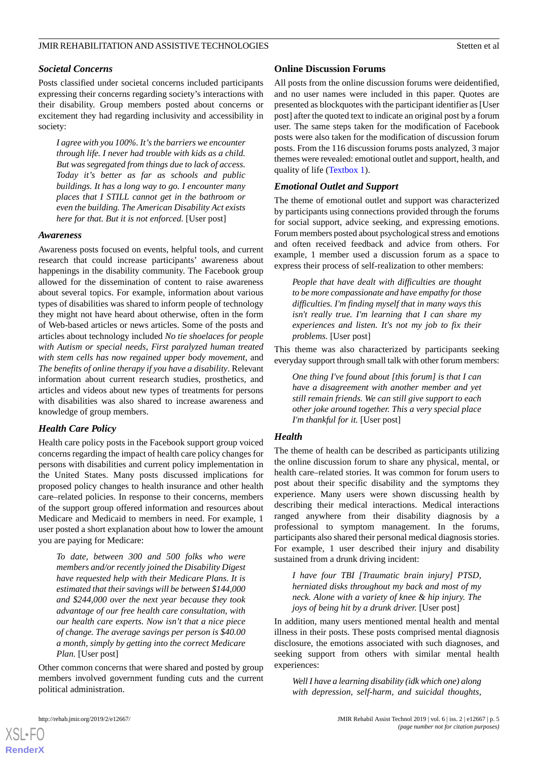# *Societal Concerns*

Posts classified under societal concerns included participants expressing their concerns regarding society's interactions with their disability. Group members posted about concerns or excitement they had regarding inclusivity and accessibility in society:

*I agree with you 100%. It's the barriers we encounter through life. I never had trouble with kids as a child. But was segregated from things due to lack of access. Today it's better as far as schools and public buildings. It has a long way to go. I encounter many places that I STILL cannot get in the bathroom or even the building. The American Disability Act exists here for that. But it is not enforced.* [User post]

# *Awareness*

Awareness posts focused on events, helpful tools, and current research that could increase participants' awareness about happenings in the disability community. The Facebook group allowed for the dissemination of content to raise awareness about several topics. For example, information about various types of disabilities was shared to inform people of technology they might not have heard about otherwise, often in the form of Web-based articles or news articles. Some of the posts and articles about technology included *No tie shoelaces for people with Autism or special needs*, *First paralyzed human treated with stem cells has now regained upper body movement*, and *The benefits of online therapy if you have a disability*. Relevant information about current research studies, prosthetics, and articles and videos about new types of treatments for persons with disabilities was also shared to increase awareness and knowledge of group members.

# *Health Care Policy*

Health care policy posts in the Facebook support group voiced concerns regarding the impact of health care policy changes for persons with disabilities and current policy implementation in the United States. Many posts discussed implications for proposed policy changes to health insurance and other health care–related policies. In response to their concerns, members of the support group offered information and resources about Medicare and Medicaid to members in need. For example, 1 user posted a short explanation about how to lower the amount you are paying for Medicare:

*To date, between 300 and 500 folks who were members and/or recently joined the Disability Digest have requested help with their Medicare Plans. It is estimated that their savings will be between \$144,000 and \$244,000 over the next year because they took advantage of our free health care consultation, with our health care experts. Now isn't that a nice piece of change. The average savings per person is \$40.00 a month, simply by getting into the correct Medicare Plan.* [User post]

Other common concerns that were shared and posted by group members involved government funding cuts and the current political administration.

# **Online Discussion Forums**

All posts from the online discussion forums were deidentified, and no user names were included in this paper. Quotes are presented as blockquotes with the participant identifier as [User post] after the quoted text to indicate an original post by a forum user. The same steps taken for the modification of Facebook posts were also taken for the modification of discussion forum posts. From the 116 discussion forums posts analyzed, 3 major themes were revealed: emotional outlet and support, health, and quality of life ([Textbox 1\)](#page-3-0).

# *Emotional Outlet and Support*

The theme of emotional outlet and support was characterized by participants using connections provided through the forums for social support, advice seeking, and expressing emotions. Forum members posted about psychological stress and emotions and often received feedback and advice from others. For example, 1 member used a discussion forum as a space to express their process of self-realization to other members:

*People that have dealt with difficulties are thought to be more compassionate and have empathy for those difficulties. I'm finding myself that in many ways this isn't really true. I'm learning that I can share my experiences and listen. It's not my job to fix their problems.* [User post]

This theme was also characterized by participants seeking everyday support through small talk with other forum members:

*One thing I've found about [this forum] is that I can have a disagreement with another member and yet still remain friends. We can still give support to each other joke around together. This a very special place I'm thankful for it.* [User post]

# *Health*

The theme of health can be described as participants utilizing the online discussion forum to share any physical, mental, or health care–related stories. It was common for forum users to post about their specific disability and the symptoms they experience. Many users were shown discussing health by describing their medical interactions. Medical interactions ranged anywhere from their disability diagnosis by a professional to symptom management. In the forums, participants also shared their personal medical diagnosis stories. For example, 1 user described their injury and disability sustained from a drunk driving incident:

*I have four TBI [Traumatic brain injury] PTSD, herniated disks throughout my back and most of my neck. Alone with a variety of knee & hip injury. The joys of being hit by a drunk driver.* [User post]

In addition, many users mentioned mental health and mental illness in their posts. These posts comprised mental diagnosis disclosure, the emotions associated with such diagnoses, and seeking support from others with similar mental health experiences:

*Well I have a learning disability (idk which one) along with depression, self-harm, and suicidal thoughts,*



[XSL](http://www.w3.org/Style/XSL)•FO **[RenderX](http://www.renderx.com/)**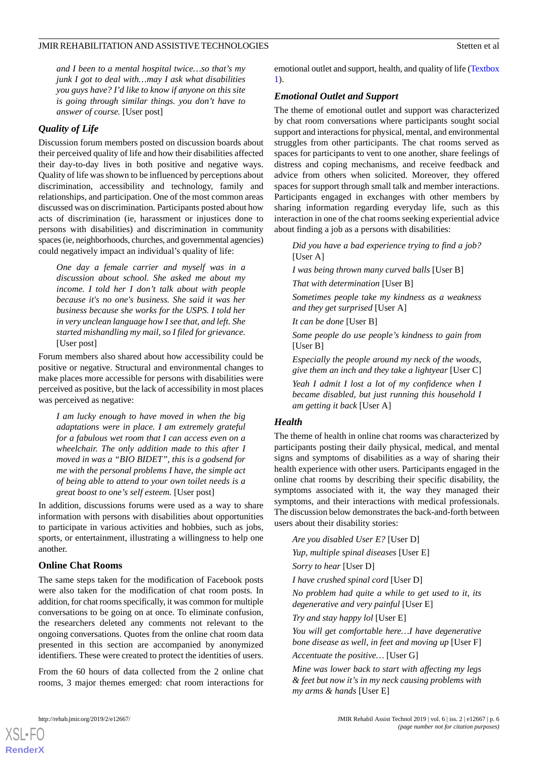*and I been to a mental hospital twice…so that's my junk I got to deal with…may I ask what disabilities you guys have? I'd like to know if anyone on this site is going through similar things. you don't have to answer of course.* [User post]

# *Quality of Life*

Discussion forum members posted on discussion boards about their perceived quality of life and how their disabilities affected their day-to-day lives in both positive and negative ways. Quality of life was shown to be influenced by perceptions about discrimination, accessibility and technology, family and relationships, and participation. One of the most common areas discussed was on discrimination. Participants posted about how acts of discrimination (ie, harassment or injustices done to persons with disabilities) and discrimination in community spaces (ie, neighborhoods, churches, and governmental agencies) could negatively impact an individual's quality of life:

*One day a female carrier and myself was in a discussion about school. She asked me about my income. I told her I don't talk about with people because it's no one's business. She said it was her business because she works for the USPS. I told her in very unclean language how I see that, and left. She started mishandling my mail, so I filed for grievance.* [User post]

Forum members also shared about how accessibility could be positive or negative. Structural and environmental changes to make places more accessible for persons with disabilities were perceived as positive, but the lack of accessibility in most places was perceived as negative:

*I am lucky enough to have moved in when the big adaptations were in place. I am extremely grateful for a fabulous wet room that I can access even on a wheelchair. The only addition made to this after I moved in was a "BIO BIDET", this is a godsend for me with the personal problems I have, the simple act of being able to attend to your own toilet needs is a great boost to one's self esteem.* [User post]

In addition, discussions forums were used as a way to share information with persons with disabilities about opportunities to participate in various activities and hobbies, such as jobs, sports, or entertainment, illustrating a willingness to help one another.

#### **Online Chat Rooms**

The same steps taken for the modification of Facebook posts were also taken for the modification of chat room posts. In addition, for chat rooms specifically, it was common for multiple conversations to be going on at once. To eliminate confusion, the researchers deleted any comments not relevant to the ongoing conversations. Quotes from the online chat room data presented in this section are accompanied by anonymized identifiers. These were created to protect the identities of users.

From the 60 hours of data collected from the 2 online chat rooms, 3 major themes emerged: chat room interactions for emotional outlet and support, health, and quality of life ([Textbox](#page-3-0) [1\)](#page-3-0).

# *Emotional Outlet and Support*

The theme of emotional outlet and support was characterized by chat room conversations where participants sought social support and interactions for physical, mental, and environmental struggles from other participants. The chat rooms served as spaces for participants to vent to one another, share feelings of distress and coping mechanisms, and receive feedback and advice from others when solicited. Moreover, they offered spaces for support through small talk and member interactions. Participants engaged in exchanges with other members by sharing information regarding everyday life, such as this interaction in one of the chat rooms seeking experiential advice about finding a job as a persons with disabilities:

*Did you have a bad experience trying to find a job?* [User A]

*I was being thrown many curved balls* [User B] *That with determination* [User B]

*Sometimes people take my kindness as a weakness and they get surprised* [User A]

*It can be done* [User B]

*Some people do use people's kindness to gain from* [User B]

*Especially the people around my neck of the woods, give them an inch and they take a lightyear* [User C]

*Yeah I admit I lost a lot of my confidence when I became disabled, but just running this household I am getting it back* [User A]

#### *Health*

The theme of health in online chat rooms was characterized by participants posting their daily physical, medical, and mental signs and symptoms of disabilities as a way of sharing their health experience with other users. Participants engaged in the online chat rooms by describing their specific disability, the symptoms associated with it, the way they managed their symptoms, and their interactions with medical professionals. The discussion below demonstrates the back-and-forth between users about their disability stories:

*Are you disabled User E?* [User D]

*Yup, multiple spinal diseases* [User E]

*Sorry to hear* [User D]

*I have crushed spinal cord* [User D]

*No problem had quite a while to get used to it, its degenerative and very painful* [User E]

*Try and stay happy lol* [User E]

*You will get comfortable here…I have degenerative bone disease as well, in feet and moving up* [User F]

*Accentuate the positive…* [User G]

*Mine was lower back to start with affecting my legs & feet but now it's in my neck causing problems with my arms & hands* [User E]

[XSL](http://www.w3.org/Style/XSL)•FO **[RenderX](http://www.renderx.com/)**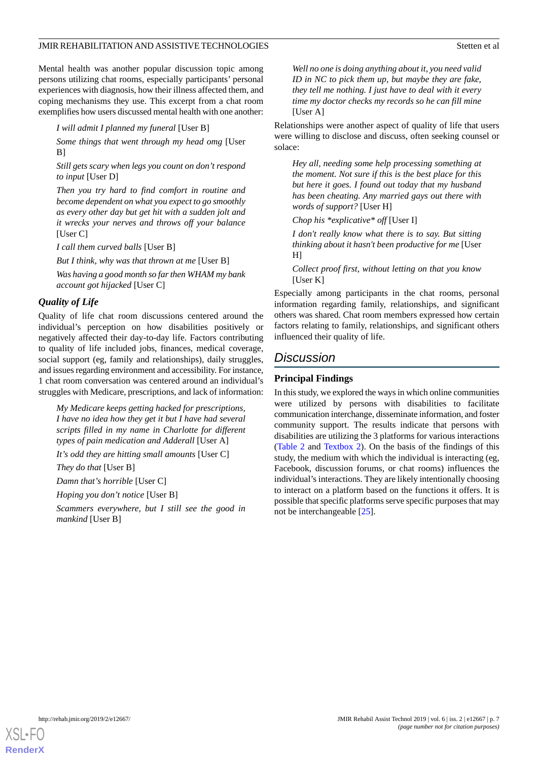Mental health was another popular discussion topic among persons utilizing chat rooms, especially participants' personal experiences with diagnosis, how their illness affected them, and coping mechanisms they use. This excerpt from a chat room exemplifies how users discussed mental health with one another:

*I will admit I planned my funeral* [User B]

*Some things that went through my head omg* [User B]

*Still gets scary when legs you count on don't respond to input* [User D]

*Then you try hard to find comfort in routine and become dependent on what you expect to go smoothly as every other day but get hit with a sudden jolt and it wrecks your nerves and throws off your balance* [User C]

*I call them curved balls* [User B]

*But I think, why was that thrown at me* [User B]

*Was having a good month so far then WHAM my bank account got hijacked* [User C]

# *Quality of Life*

Quality of life chat room discussions centered around the individual's perception on how disabilities positively or negatively affected their day-to-day life. Factors contributing to quality of life included jobs, finances, medical coverage, social support (eg, family and relationships), daily struggles, and issues regarding environment and accessibility. For instance, 1 chat room conversation was centered around an individual's struggles with Medicare, prescriptions, and lack of information:

*My Medicare keeps getting hacked for prescriptions, I have no idea how they get it but I have had several scripts filled in my name in Charlotte for different types of pain medication and Adderall* [User A]

*It's odd they are hitting small amounts* [User C]

*They do that* [User B]

*Damn that's horrible* [User C]

*Hoping you don't notice* [User B]

*Scammers everywhere, but I still see the good in mankind* [User B]

*Well no one is doing anything about it, you need valid ID in NC to pick them up, but maybe they are fake, they tell me nothing. I just have to deal with it every time my doctor checks my records so he can fill mine* [User A]

Relationships were another aspect of quality of life that users were willing to disclose and discuss, often seeking counsel or solace:

*Hey all, needing some help processing something at the moment. Not sure if this is the best place for this but here it goes. I found out today that my husband has been cheating. Any married gays out there with words of support?* [User H]

*Chop his \*explicative\* off* [User I]

*I don't really know what there is to say. But sitting thinking about it hasn't been productive for me* [User  $H$ ]

*Collect proof first, without letting on that you know* [User K]

Especially among participants in the chat rooms, personal information regarding family, relationships, and significant others was shared. Chat room members expressed how certain factors relating to family, relationships, and significant others influenced their quality of life.

# *Discussion*

# **Principal Findings**

In this study, we explored the ways in which online communities were utilized by persons with disabilities to facilitate communication interchange, disseminate information, and foster community support. The results indicate that persons with disabilities are utilizing the 3 platforms for various interactions ([Table 2](#page-7-0) and [Textbox 2](#page-7-1)). On the basis of the findings of this study, the medium with which the individual is interacting (eg, Facebook, discussion forums, or chat rooms) influences the individual's interactions. They are likely intentionally choosing to interact on a platform based on the functions it offers. It is possible that specific platforms serve specific purposes that may not be interchangeable [[25\]](#page-10-10).

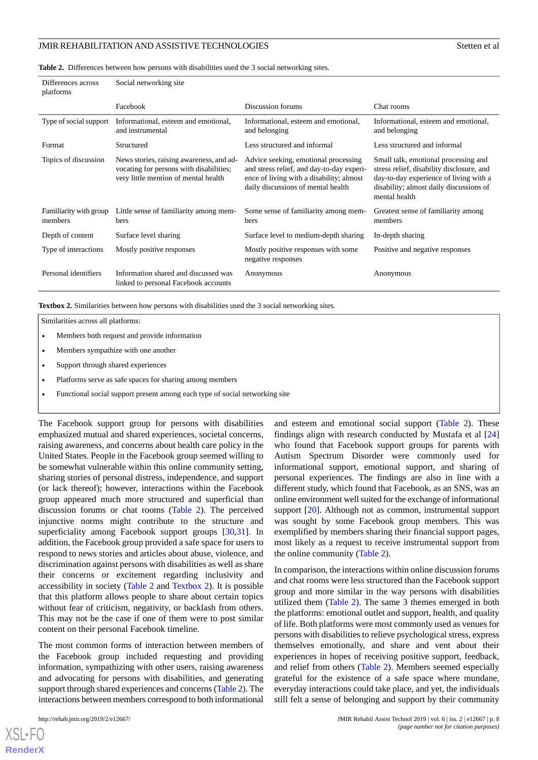<span id="page-7-0"></span>**Table 2.** Differences between how persons with disabilities used the 3 social networking sites.

| Differences across<br>platforms   | Social networking site                                                                                                      |                                                                                                                                                                     |                                                                                                                                                                                         |  |  |
|-----------------------------------|-----------------------------------------------------------------------------------------------------------------------------|---------------------------------------------------------------------------------------------------------------------------------------------------------------------|-----------------------------------------------------------------------------------------------------------------------------------------------------------------------------------------|--|--|
|                                   | Facebook                                                                                                                    | Discussion forums                                                                                                                                                   | Chat rooms                                                                                                                                                                              |  |  |
| Type of social support            | Informational, esteem and emotional,<br>and instrumental                                                                    | Informational, esteem and emotional,<br>and belonging                                                                                                               | Informational, esteem and emotional,<br>and belonging                                                                                                                                   |  |  |
| Format                            | Structured                                                                                                                  | Less structured and informal                                                                                                                                        | Less structured and informal                                                                                                                                                            |  |  |
| Topics of discussion              | News stories, raising awareness, and ad-<br>vocating for persons with disabilities;<br>very little mention of mental health | Advice seeking, emotional processing<br>and stress relief, and day-to-day experi-<br>ence of living with a disability; almost<br>daily discussions of mental health | Small talk, emotional processing and<br>stress relief, disability disclosure, and<br>day-to-day experience of living with a<br>disability; almost daily discussions of<br>mental health |  |  |
| Familiarity with group<br>members | Little sense of familiarity among mem-<br>bers                                                                              | Some sense of familiarity among mem-<br>bers                                                                                                                        | Greatest sense of familiarity among<br>members                                                                                                                                          |  |  |
| Depth of content                  | Surface level sharing                                                                                                       | Surface level to medium-depth sharing                                                                                                                               | In-depth sharing                                                                                                                                                                        |  |  |
| Type of interactions              | Mostly positive responses                                                                                                   | Mostly positive responses with some<br>negative responses                                                                                                           | Positive and negative responses                                                                                                                                                         |  |  |
| Personal identifiers              | Information shared and discussed was<br>linked to personal Facebook accounts                                                | Anonymous                                                                                                                                                           | Anonymous                                                                                                                                                                               |  |  |

<span id="page-7-1"></span>**Textbox 2.** Similarities between how persons with disabilities used the 3 social networking sites.

Similarities across all platforms:

- Members both request and provide information
- Members sympathize with one another
- Support through shared experiences
- Platforms serve as safe spaces for sharing among members
- Functional social support present among each type of social networking site

The Facebook support group for persons with disabilities emphasized mutual and shared experiences, societal concerns, raising awareness, and concerns about health care policy in the United States. People in the Facebook group seemed willing to be somewhat vulnerable within this online community setting, sharing stories of personal distress, independence, and support (or lack thereof); however, interactions within the Facebook group appeared much more structured and superficial than discussion forums or chat rooms [\(Table 2](#page-7-0)). The perceived injunctive norms might contribute to the structure and superficiality among Facebook support groups [\[30](#page-10-14),[31\]](#page-10-15). In addition, the Facebook group provided a safe space for users to respond to news stories and articles about abuse, violence, and discrimination against persons with disabilities as well as share their concerns or excitement regarding inclusivity and accessibility in society [\(Table 2](#page-7-0) and [Textbox 2](#page-7-1)). It is possible that this platform allows people to share about certain topics without fear of criticism, negativity, or backlash from others. This may not be the case if one of them were to post similar content on their personal Facebook timeline.

The most common forms of interaction between members of the Facebook group included requesting and providing information, sympathizing with other users, raising awareness and advocating for persons with disabilities, and generating support through shared experiences and concerns ([Table 2](#page-7-0)). The interactions between members correspond to both informational

and esteem and emotional social support [\(Table 2](#page-7-0)). These findings align with research conducted by Mustafa et al [\[24](#page-10-9)] who found that Facebook support groups for parents with Autism Spectrum Disorder were commonly used for informational support, emotional support, and sharing of personal experiences. The findings are also in line with a different study, which found that Facebook, as an SNS, was an online environment well suited for the exchange of informational support [\[20](#page-10-4)]. Although not as common, instrumental support was sought by some Facebook group members. This was exemplified by members sharing their financial support pages, most likely as a request to receive instrumental support from the online community [\(Table 2\)](#page-7-0).

In comparison, the interactions within online discussion forums and chat rooms were less structured than the Facebook support group and more similar in the way persons with disabilities utilized them ([Table 2](#page-7-0)). The same 3 themes emerged in both the platforms: emotional outlet and support, health, and quality of life. Both platforms were most commonly used as venues for persons with disabilities to relieve psychological stress, express themselves emotionally, and share and vent about their experiences in hopes of receiving positive support, feedback, and relief from others [\(Table 2\)](#page-7-0). Members seemed especially grateful for the existence of a safe space where mundane, everyday interactions could take place, and yet, the individuals still felt a sense of belonging and support by their community

[XSL](http://www.w3.org/Style/XSL)•FO **[RenderX](http://www.renderx.com/)**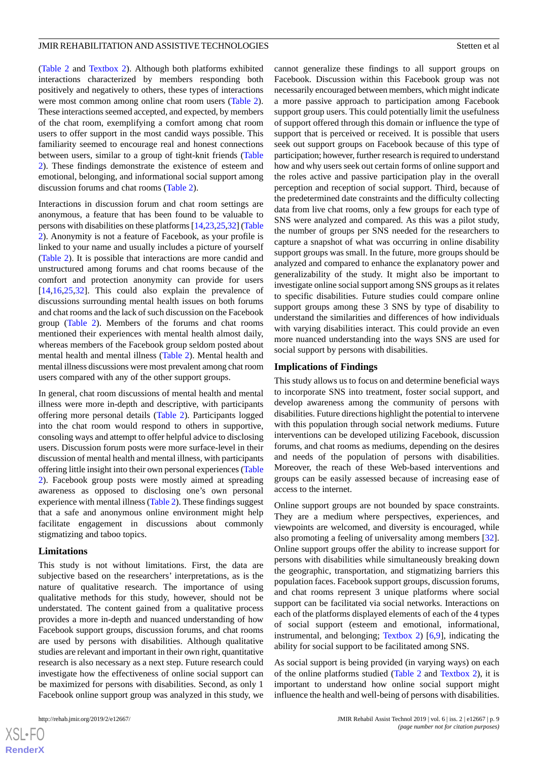([Table 2](#page-7-0) and [Textbox 2\)](#page-7-1). Although both platforms exhibited interactions characterized by members responding both positively and negatively to others, these types of interactions were most common among online chat room users ([Table 2\)](#page-7-0). These interactions seemed accepted, and expected, by members of the chat room, exemplifying a comfort among chat room users to offer support in the most candid ways possible. This familiarity seemed to encourage real and honest connections between users, similar to a group of tight-knit friends ([Table](#page-7-0) [2\)](#page-7-0). These findings demonstrate the existence of esteem and emotional, belonging, and informational social support among discussion forums and chat rooms [\(Table 2\)](#page-7-0).

Interactions in discussion forum and chat room settings are anonymous, a feature that has been found to be valuable to persons with disabilities on these platforms [\[14](#page-9-11)[,23](#page-10-8),[25](#page-10-10),[32\]](#page-10-16) [\(Table](#page-7-0) [2\)](#page-7-0). Anonymity is not a feature of Facebook, as your profile is linked to your name and usually includes a picture of yourself ([Table 2](#page-7-0)). It is possible that interactions are more candid and unstructured among forums and chat rooms because of the comfort and protection anonymity can provide for users [[14](#page-9-11)[,16](#page-10-1),[25](#page-10-10)[,32](#page-10-16)]. This could also explain the prevalence of discussions surrounding mental health issues on both forums and chat rooms and the lack of such discussion on the Facebook group [\(Table 2\)](#page-7-0). Members of the forums and chat rooms mentioned their experiences with mental health almost daily, whereas members of the Facebook group seldom posted about mental health and mental illness ([Table 2\)](#page-7-0). Mental health and mental illness discussions were most prevalent among chat room users compared with any of the other support groups.

In general, chat room discussions of mental health and mental illness were more in-depth and descriptive, with participants offering more personal details [\(Table 2](#page-7-0)). Participants logged into the chat room would respond to others in supportive, consoling ways and attempt to offer helpful advice to disclosing users. Discussion forum posts were more surface-level in their discussion of mental health and mental illness, with participants offering little insight into their own personal experiences ([Table](#page-7-0) [2\)](#page-7-0). Facebook group posts were mostly aimed at spreading awareness as opposed to disclosing one's own personal experience with mental illness [\(Table 2\)](#page-7-0). These findings suggest that a safe and anonymous online environment might help facilitate engagement in discussions about commonly stigmatizing and taboo topics.

#### **Limitations**

This study is not without limitations. First, the data are subjective based on the researchers' interpretations, as is the nature of qualitative research. The importance of using qualitative methods for this study, however, should not be understated. The content gained from a qualitative process provides a more in-depth and nuanced understanding of how Facebook support groups, discussion forums, and chat rooms are used by persons with disabilities. Although qualitative studies are relevant and important in their own right, quantitative research is also necessary as a next step. Future research could investigate how the effectiveness of online social support can be maximized for persons with disabilities. Second, as only 1 Facebook online support group was analyzed in this study, we

 $XS$  $\cdot$ FC **[RenderX](http://www.renderx.com/)**

cannot generalize these findings to all support groups on Facebook. Discussion within this Facebook group was not necessarily encouraged between members, which might indicate a more passive approach to participation among Facebook support group users. This could potentially limit the usefulness of support offered through this domain or influence the type of support that is perceived or received. It is possible that users seek out support groups on Facebook because of this type of participation; however, further research is required to understand how and why users seek out certain forms of online support and the roles active and passive participation play in the overall perception and reception of social support. Third, because of the predetermined date constraints and the difficulty collecting data from live chat rooms, only a few groups for each type of SNS were analyzed and compared. As this was a pilot study, the number of groups per SNS needed for the researchers to capture a snapshot of what was occurring in online disability support groups was small. In the future, more groups should be analyzed and compared to enhance the explanatory power and generalizability of the study. It might also be important to investigate online social support among SNS groups as it relates to specific disabilities. Future studies could compare online support groups among these 3 SNS by type of disability to understand the similarities and differences of how individuals with varying disabilities interact. This could provide an even more nuanced understanding into the ways SNS are used for social support by persons with disabilities.

#### **Implications of Findings**

This study allows us to focus on and determine beneficial ways to incorporate SNS into treatment, foster social support, and develop awareness among the community of persons with disabilities. Future directions highlight the potential to intervene with this population through social network mediums. Future interventions can be developed utilizing Facebook, discussion forums, and chat rooms as mediums, depending on the desires and needs of the population of persons with disabilities. Moreover, the reach of these Web-based interventions and groups can be easily assessed because of increasing ease of access to the internet.

Online support groups are not bounded by space constraints. They are a medium where perspectives, experiences, and viewpoints are welcomed, and diversity is encouraged, while also promoting a feeling of universality among members [[32\]](#page-10-16). Online support groups offer the ability to increase support for persons with disabilities while simultaneously breaking down the geographic, transportation, and stigmatizing barriers this population faces. Facebook support groups, discussion forums, and chat rooms represent 3 unique platforms where social support can be facilitated via social networks. Interactions on each of the platforms displayed elements of each of the 4 types of social support (esteem and emotional, informational, instrumental, and belonging; [Textbox 2\)](#page-7-1) [\[6](#page-9-5),[9\]](#page-9-13), indicating the ability for social support to be facilitated among SNS.

As social support is being provided (in varying ways) on each of the online platforms studied [\(Table 2](#page-7-0) and [Textbox 2](#page-7-1)), it is important to understand how online social support might influence the health and well-being of persons with disabilities.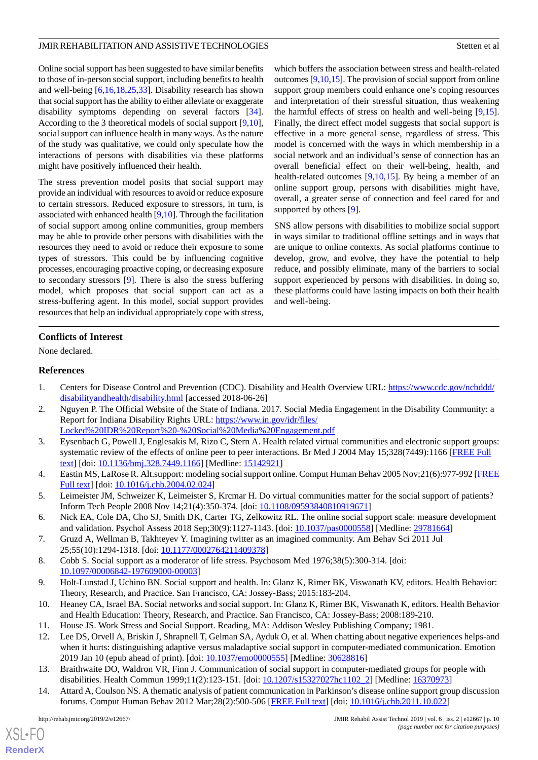Online social support has been suggested to have similar benefits to those of in-person social support, including benefits to health and well-being [\[6](#page-9-5),[16](#page-10-1)[,18](#page-10-5),[25](#page-10-10)[,33](#page-10-17)]. Disability research has shown that social support has the ability to either alleviate or exaggerate disability symptoms depending on several factors [[34\]](#page-10-18). According to the 3 theoretical models of social support [\[9](#page-9-13),[10\]](#page-9-8), social support can influence health in many ways. As the nature of the study was qualitative, we could only speculate how the interactions of persons with disabilities via these platforms might have positively influenced their health.

The stress prevention model posits that social support may provide an individual with resources to avoid or reduce exposure to certain stressors. Reduced exposure to stressors, in turn, is associated with enhanced health [[9,](#page-9-13)[10\]](#page-9-8). Through the facilitation of social support among online communities, group members may be able to provide other persons with disabilities with the resources they need to avoid or reduce their exposure to some types of stressors. This could be by influencing cognitive processes, encouraging proactive coping, or decreasing exposure to secondary stressors [\[9](#page-9-13)]. There is also the stress buffering model, which proposes that social support can act as a stress-buffering agent. In this model, social support provides resources that help an individual appropriately cope with stress, which buffers the association between stress and health-related outcomes [[9,](#page-9-13)[10](#page-9-8)[,15](#page-10-0)]. The provision of social support from online support group members could enhance one's coping resources and interpretation of their stressful situation, thus weakening the harmful effects of stress on health and well-being [\[9](#page-9-13),[15\]](#page-10-0). Finally, the direct effect model suggests that social support is effective in a more general sense, regardless of stress. This model is concerned with the ways in which membership in a social network and an individual's sense of connection has an overall beneficial effect on their well-being, health, and health-related outcomes [\[9](#page-9-13),[10,](#page-9-8)[15](#page-10-0)]. By being a member of an online support group, persons with disabilities might have, overall, a greater sense of connection and feel cared for and supported by others [\[9](#page-9-13)].

SNS allow persons with disabilities to mobilize social support in ways similar to traditional offline settings and in ways that are unique to online contexts. As social platforms continue to develop, grow, and evolve, they have the potential to help reduce, and possibly eliminate, many of the barriers to social support experienced by persons with disabilities. In doing so, these platforms could have lasting impacts on both their health and well-being.

# **Conflicts of Interest**

<span id="page-9-0"></span>None declared.

# <span id="page-9-1"></span>**References**

- <span id="page-9-2"></span>1. Centers for Disease Control and Prevention (CDC). Disability and Health Overview URL: [https://www.cdc.gov/ncbddd/](https://www.cdc.gov/ncbddd/disabilityandhealth/disability.html) [disabilityandhealth/disability.html](https://www.cdc.gov/ncbddd/disabilityandhealth/disability.html) [accessed 2018-06-26]
- 2. Nguyen P. The Official Website of the State of Indiana. 2017. Social Media Engagement in the Disability Community: a Report for Indiana Disability Rights URL: [https://www.in.gov/idr/files/](https://www.in.gov/idr/files/Locked%20IDR%20Report%20-%20Social%20Media%20Engagement.pdf) [Locked%20IDR%20Report%20-%20Social%20Media%20Engagement.pdf](https://www.in.gov/idr/files/Locked%20IDR%20Report%20-%20Social%20Media%20Engagement.pdf)
- <span id="page-9-4"></span><span id="page-9-3"></span>3. Eysenbach G, Powell J, Englesakis M, Rizo C, Stern A. Health related virtual communities and electronic support groups: systematic review of the effects of online peer to peer interactions. Br Med J 2004 May 15;328(7449):1166 [[FREE Full](http://europepmc.org/abstract/MED/15142921) [text](http://europepmc.org/abstract/MED/15142921)] [doi: [10.1136/bmj.328.7449.1166\]](http://dx.doi.org/10.1136/bmj.328.7449.1166) [Medline: [15142921\]](http://www.ncbi.nlm.nih.gov/entrez/query.fcgi?cmd=Retrieve&db=PubMed&list_uids=15142921&dopt=Abstract)
- <span id="page-9-5"></span>4. Eastin MS, LaRose R. Alt.support: modeling social support online. Comput Human Behav 2005 Nov;21(6):977-992 [\[FREE](https://doi.org/10.1136/bmj.328.7449.1166) [Full text\]](https://doi.org/10.1136/bmj.328.7449.1166) [doi: [10.1016/j.chb.2004.02.024](http://dx.doi.org/10.1016/j.chb.2004.02.024)]
- <span id="page-9-7"></span><span id="page-9-6"></span>5. Leimeister JM, Schweizer K, Leimeister S, Krcmar H. Do virtual communities matter for the social support of patients? Inform Tech People 2008 Nov 14;21(4):350-374. [doi: [10.1108/09593840810919671\]](http://dx.doi.org/10.1108/09593840810919671)
- <span id="page-9-13"></span>6. Nick EA, Cole DA, Cho SJ, Smith DK, Carter TG, Zelkowitz RL. The online social support scale: measure development and validation. Psychol Assess 2018 Sep;30(9):1127-1143. [doi: [10.1037/pas0000558](http://dx.doi.org/10.1037/pas0000558)] [Medline: [29781664\]](http://www.ncbi.nlm.nih.gov/entrez/query.fcgi?cmd=Retrieve&db=PubMed&list_uids=29781664&dopt=Abstract)
- <span id="page-9-8"></span>7. Gruzd A, Wellman B, Takhteyev Y. Imagining twitter as an imagined community. Am Behav Sci 2011 Jul 25;55(10):1294-1318. [doi: [10.1177/0002764211409378\]](http://dx.doi.org/10.1177/0002764211409378)
- <span id="page-9-9"></span>8. Cobb S. Social support as a moderator of life stress. Psychosom Med 1976;38(5):300-314. [doi: [10.1097/00006842-197609000-00003](http://dx.doi.org/10.1097/00006842-197609000-00003)]
- <span id="page-9-10"></span>9. Holt-Lunstad J, Uchino BN. Social support and health. In: Glanz K, Rimer BK, Viswanath KV, editors. Health Behavior: Theory, Research, and Practice. San Francisco, CA: Jossey-Bass; 2015:183-204.
- <span id="page-9-12"></span>10. Heaney CA, Israel BA. Social networks and social support. In: Glanz K, Rimer BK, Viswanath K, editors. Health Behavior and Health Education: Theory, Research, and Practice. San Francisco, CA: Jossey-Bass; 2008:189-210.
- <span id="page-9-11"></span>11. House JS. Work Stress and Social Support. Reading, MA: Addison Wesley Publishing Company; 1981.
- 12. Lee DS, Orvell A, Briskin J, Shrapnell T, Gelman SA, Ayduk O, et al. When chatting about negative experiences helps-and when it hurts: distinguishing adaptive versus maladaptive social support in computer-mediated communication. Emotion 2019 Jan 10 (epub ahead of print). [doi: [10.1037/emo0000555](http://dx.doi.org/10.1037/emo0000555)] [Medline: [30628816](http://www.ncbi.nlm.nih.gov/entrez/query.fcgi?cmd=Retrieve&db=PubMed&list_uids=30628816&dopt=Abstract)]
- 13. Braithwaite DO, Waldron VR, Finn J. Communication of social support in computer-mediated groups for people with disabilities. Health Commun 1999;11(2):123-151. [doi: [10.1207/s15327027hc1102\\_2](http://dx.doi.org/10.1207/s15327027hc1102_2)] [Medline: [16370973](http://www.ncbi.nlm.nih.gov/entrez/query.fcgi?cmd=Retrieve&db=PubMed&list_uids=16370973&dopt=Abstract)]
- 14. Attard A, Coulson NS. A thematic analysis of patient communication in Parkinson's disease online support group discussion forums. Comput Human Behav 2012 Mar;28(2):500-506 [[FREE Full text](https://doi.org/10.1016/j.chb.2011.10.022)] [doi: [10.1016/j.chb.2011.10.022\]](http://dx.doi.org/10.1016/j.chb.2011.10.022)

 $XS$  $\cdot$ FC **[RenderX](http://www.renderx.com/)**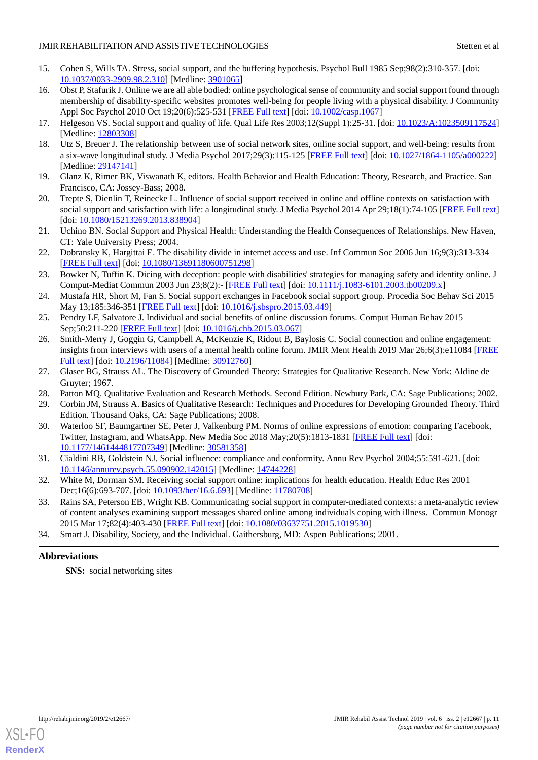- <span id="page-10-0"></span>15. Cohen S, Wills TA. Stress, social support, and the buffering hypothesis. Psychol Bull 1985 Sep;98(2):310-357. [doi: [10.1037/0033-2909.98.2.310\]](http://dx.doi.org/10.1037/0033-2909.98.2.310) [Medline: [3901065](http://www.ncbi.nlm.nih.gov/entrez/query.fcgi?cmd=Retrieve&db=PubMed&list_uids=3901065&dopt=Abstract)]
- <span id="page-10-1"></span>16. Obst P, Stafurik J. Online we are all able bodied: online psychological sense of community and social support found through membership of disability-specific websites promotes well-being for people living with a physical disability. J Community Appl Soc Psychol 2010 Oct 19;20(6):525-531 [\[FREE Full text\]](https://doi.org/10.1002/casp.1067) [doi: [10.1002/casp.1067\]](http://dx.doi.org/10.1002/casp.1067)
- <span id="page-10-5"></span><span id="page-10-2"></span>17. Helgeson VS. Social support and quality of life. Qual Life Res 2003;12(Suppl 1):25-31. [doi: [10.1023/A:1023509117524](http://dx.doi.org/10.1023/A:1023509117524)] [Medline: [12803308](http://www.ncbi.nlm.nih.gov/entrez/query.fcgi?cmd=Retrieve&db=PubMed&list_uids=12803308&dopt=Abstract)]
- <span id="page-10-3"></span>18. Utz S, Breuer J. The relationship between use of social network sites, online social support, and well-being: results from a six-wave longitudinal study. J Media Psychol 2017;29(3):115-125 [[FREE Full text\]](http://europepmc.org/abstract/MED/29147141) [doi: [10.1027/1864-1105/a000222\]](http://dx.doi.org/10.1027/1864-1105/a000222) [Medline: [29147141](http://www.ncbi.nlm.nih.gov/entrez/query.fcgi?cmd=Retrieve&db=PubMed&list_uids=29147141&dopt=Abstract)]
- <span id="page-10-4"></span>19. Glanz K, Rimer BK, Viswanath K, editors. Health Behavior and Health Education: Theory, Research, and Practice. San Francisco, CA: Jossey-Bass; 2008.
- <span id="page-10-6"></span>20. Trepte S, Dienlin T, Reinecke L. Influence of social support received in online and offline contexts on satisfaction with social support and satisfaction with life: a longitudinal study. J Media Psychol 2014 Apr 29;18(1):74-105 [[FREE Full text](https://doi.org/10.1080/15213269.2013.838904)] [doi: [10.1080/15213269.2013.838904](http://dx.doi.org/10.1080/15213269.2013.838904)]
- <span id="page-10-7"></span>21. Uchino BN. Social Support and Physical Health: Understanding the Health Consequences of Relationships. New Haven, CT: Yale University Press; 2004.
- <span id="page-10-8"></span>22. Dobransky K, Hargittai E. The disability divide in internet access and use. Inf Commun Soc 2006 Jun 16;9(3):313-334 [[FREE Full text](https://doi.org/10.1080/13691180600751298)] [doi: [10.1080/13691180600751298\]](http://dx.doi.org/10.1080/13691180600751298)
- <span id="page-10-9"></span>23. Bowker N, Tuffin K. Dicing with deception: people with disabilities' strategies for managing safety and identity online. J Comput-Mediat Commun 2003 Jun 23;8(2):- [[FREE Full text](https://doi.org/10.1111/j.1083-6101.2003.tb00209.x)] [doi: [10.1111/j.1083-6101.2003.tb00209.x\]](http://dx.doi.org/10.1111/j.1083-6101.2003.tb00209.x)
- <span id="page-10-11"></span><span id="page-10-10"></span>24. Mustafa HR, Short M, Fan S. Social support exchanges in Facebook social support group. Procedia Soc Behav Sci 2015 May 13;185:346-351 [\[FREE Full text\]](https://doi.org/10.1016/j.sbspro.2015.03.449) [doi: [10.1016/j.sbspro.2015.03.449\]](http://dx.doi.org/10.1016/j.sbspro.2015.03.449)
- 25. Pendry LF, Salvatore J. Individual and social benefits of online discussion forums. Comput Human Behav 2015 Sep;50:211-220 [\[FREE Full text\]](https://doi.org/10.1016/j.chb.2015.03.067) [doi: [10.1016/j.chb.2015.03.067\]](http://dx.doi.org/10.1016/j.chb.2015.03.067)
- <span id="page-10-12"></span>26. Smith-Merry J, Goggin G, Campbell A, McKenzie K, Ridout B, Baylosis C. Social connection and online engagement: insights from interviews with users of a mental health online forum. JMIR Ment Health 2019 Mar 26;6(3):e11084 [[FREE](https://mental.jmir.org/2019/3/e11084/) [Full text\]](https://mental.jmir.org/2019/3/e11084/) [doi: [10.2196/11084\]](http://dx.doi.org/10.2196/11084) [Medline: [30912760](http://www.ncbi.nlm.nih.gov/entrez/query.fcgi?cmd=Retrieve&db=PubMed&list_uids=30912760&dopt=Abstract)]
- <span id="page-10-13"></span>27. Glaser BG, Strauss AL. The Discovery of Grounded Theory: Strategies for Qualitative Research. New York: Aldine de Gruyter; 1967.
- <span id="page-10-14"></span>28. Patton MQ. Qualitative Evaluation and Research Methods. Second Edition. Newbury Park, CA: Sage Publications; 2002.
- <span id="page-10-15"></span>29. Corbin JM, Strauss A. Basics of Qualitative Research: Techniques and Procedures for Developing Grounded Theory. Third Edition. Thousand Oaks, CA: Sage Publications; 2008.
- <span id="page-10-16"></span>30. Waterloo SF, Baumgartner SE, Peter J, Valkenburg PM. Norms of online expressions of emotion: comparing Facebook, Twitter, Instagram, and WhatsApp. New Media Soc 2018 May;20(5):1813-1831 [\[FREE Full text\]](http://europepmc.org/abstract/MED/30581358) [doi: [10.1177/1461444817707349\]](http://dx.doi.org/10.1177/1461444817707349) [Medline: [30581358\]](http://www.ncbi.nlm.nih.gov/entrez/query.fcgi?cmd=Retrieve&db=PubMed&list_uids=30581358&dopt=Abstract)
- <span id="page-10-17"></span>31. Cialdini RB, Goldstein NJ. Social influence: compliance and conformity. Annu Rev Psychol 2004;55:591-621. [doi: [10.1146/annurev.psych.55.090902.142015](http://dx.doi.org/10.1146/annurev.psych.55.090902.142015)] [Medline: [14744228](http://www.ncbi.nlm.nih.gov/entrez/query.fcgi?cmd=Retrieve&db=PubMed&list_uids=14744228&dopt=Abstract)]
- <span id="page-10-18"></span>32. White M, Dorman SM. Receiving social support online: implications for health education. Health Educ Res 2001 Dec;16(6):693-707. [doi: [10.1093/her/16.6.693](http://dx.doi.org/10.1093/her/16.6.693)] [Medline: [11780708](http://www.ncbi.nlm.nih.gov/entrez/query.fcgi?cmd=Retrieve&db=PubMed&list_uids=11780708&dopt=Abstract)]
- 33. Rains SA, Peterson EB, Wright KB. Communicating social support in computer-mediated contexts: a meta-analytic review of content analyses examining support messages shared online among individuals coping with illness. Commun Monogr 2015 Mar 17;82(4):403-430 [[FREE Full text\]](https://doi.org/10.1080/03637751.2015.1019530) [doi: [10.1080/03637751.2015.1019530\]](http://dx.doi.org/10.1080/03637751.2015.1019530)
- 34. Smart J. Disability, Society, and the Individual. Gaithersburg, MD: Aspen Publications; 2001.

# **Abbreviations**

**SNS:** social networking sites